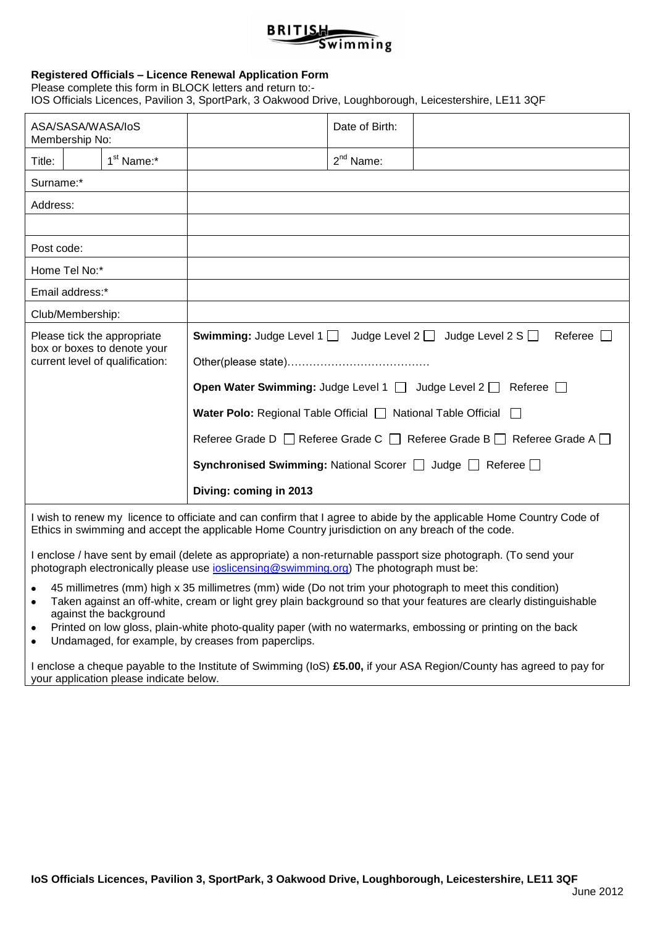### **BRITISH**  $\widetilde{\mathsf{sw}}$ imming

#### **Registered Officials – Licence Renewal Application Form**

Please complete this form in BLOCK letters and return to:- IOS Officials Licences, Pavilion 3, SportPark, 3 Oakwood Drive, Loughborough, Leicestershire, LE11 3QF

| ASA/SASA/WASA/IoS<br>Membership No:                                                                                                                                                                                       |                        |                        |                                                                                                                                                                                                                                                                                                                                                                                                                                          | Date of Birth: |  |  |  |
|---------------------------------------------------------------------------------------------------------------------------------------------------------------------------------------------------------------------------|------------------------|------------------------|------------------------------------------------------------------------------------------------------------------------------------------------------------------------------------------------------------------------------------------------------------------------------------------------------------------------------------------------------------------------------------------------------------------------------------------|----------------|--|--|--|
| Title:                                                                                                                                                                                                                    |                        | 1 <sup>st</sup> Name:* |                                                                                                                                                                                                                                                                                                                                                                                                                                          | $2nd$ Name:    |  |  |  |
| Surname:*                                                                                                                                                                                                                 |                        |                        |                                                                                                                                                                                                                                                                                                                                                                                                                                          |                |  |  |  |
| Address:                                                                                                                                                                                                                  |                        |                        |                                                                                                                                                                                                                                                                                                                                                                                                                                          |                |  |  |  |
|                                                                                                                                                                                                                           |                        |                        |                                                                                                                                                                                                                                                                                                                                                                                                                                          |                |  |  |  |
| Post code:                                                                                                                                                                                                                |                        |                        |                                                                                                                                                                                                                                                                                                                                                                                                                                          |                |  |  |  |
|                                                                                                                                                                                                                           | Home Tel No:*          |                        |                                                                                                                                                                                                                                                                                                                                                                                                                                          |                |  |  |  |
|                                                                                                                                                                                                                           | Email address:*        |                        |                                                                                                                                                                                                                                                                                                                                                                                                                                          |                |  |  |  |
|                                                                                                                                                                                                                           |                        |                        |                                                                                                                                                                                                                                                                                                                                                                                                                                          |                |  |  |  |
| Club/Membership:<br>Please tick the appropriate<br>box or boxes to denote your<br>current level of qualification:                                                                                                         |                        |                        | <b>Swimming:</b> Judge Level 1 $\Box$ Judge Level 2 $\Box$ Judge Level 2 S $\Box$<br>Referee $\Box$<br><b>Open Water Swimming:</b> Judge Level 1 $\Box$ Judge Level 2 $\Box$ Referee $\Box$<br><b>Water Polo:</b> Regional Table Official $\Box$ National Table Official $\Box$<br>Referee Grade D   Referee Grade C   Referee Grade B   Referee Grade A   Referee Grade A<br>Synchronised Swimming: National Scorer □ Judge □ Referee □ |                |  |  |  |
|                                                                                                                                                                                                                           | Diving: coming in 2013 |                        |                                                                                                                                                                                                                                                                                                                                                                                                                                          |                |  |  |  |
| I wish to renew my licence to officiate and can confirm that I agree to abide by the applicable Home Country Code of<br>Ethics in swimming and accept the applicable Home Country jurisdiction on any breach of the code. |                        |                        |                                                                                                                                                                                                                                                                                                                                                                                                                                          |                |  |  |  |

I enclose / have sent by email (delete as appropriate) a non-returnable passport size photograph. (To send your photograph electronically please use [ioslicensing@swimming.org\)](mailto:ioslicensing@swimming.org) The photograph must be:

- 45 millimetres (mm) high x 35 millimetres (mm) wide (Do not trim your photograph to meet this condition)  $\bullet$
- Taken against an off-white, cream or light grey plain background so that your features are clearly distinguishable  $\bullet$ against the background
- Printed on low gloss, plain-white photo-quality paper (with no watermarks, embossing or printing on the back  $\bullet$
- Undamaged, for example, by creases from paperclips.  $\bullet$

I enclose a cheque payable to the Institute of Swimming (IoS) **£5.00,** if your ASA Region/County has agreed to pay for your application please indicate below.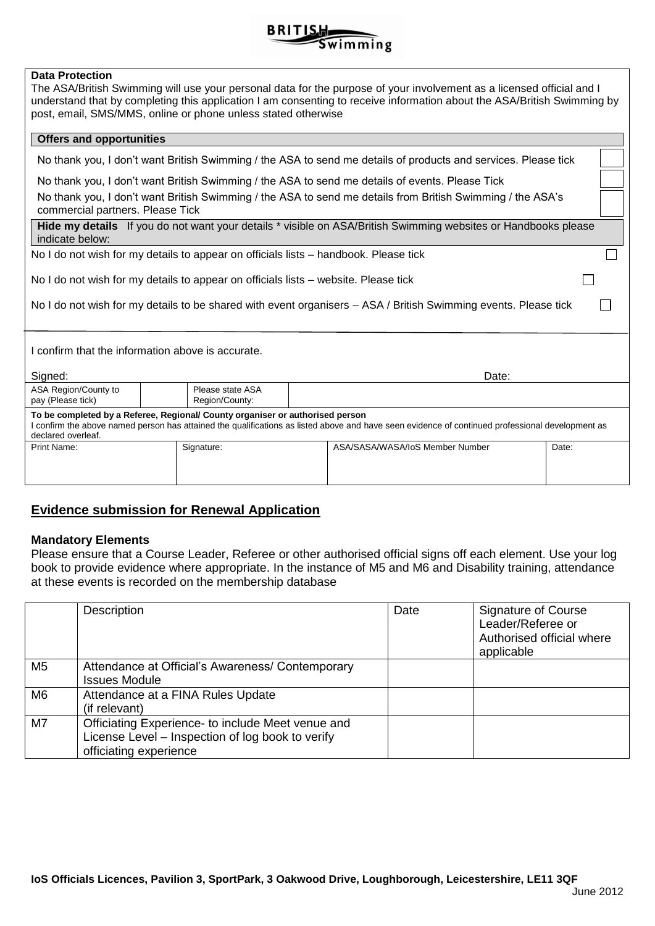

### **Data Protection**

| The ASA/British Swimming will use your personal data for the purpose of your involvement as a licensed official and I<br>understand that by completing this application I am consenting to receive information about the ASA/British Swimming by<br>post, email, SMS/MMS, online or phone unless stated otherwise |  |  |  |  |
|-------------------------------------------------------------------------------------------------------------------------------------------------------------------------------------------------------------------------------------------------------------------------------------------------------------------|--|--|--|--|
| <b>Offers and opportunities</b>                                                                                                                                                                                                                                                                                   |  |  |  |  |
| No thank you, I don't want British Swimming / the ASA to send me details of products and services. Please tick                                                                                                                                                                                                    |  |  |  |  |

No thank you, I don't want British Swimming / the ASA to send me details of events. Please Tick

No thank you, I don't want British Swimming / the ASA to send me details from British Swimming / the ASA's commercial partners. Please Tick

**Hide my details** If you do not want your details \* visible on ASA/British Swimming websites or Handbooks please indicate below:

No I do not wish for my details to appear on officials lists – handbook. Please tick

No I do not wish for my details to appear on officials lists – website. Please tick

No I do not wish for my details to be shared with event organisers - ASA / British Swimming events. Please tick

I confirm that the information above is accurate.

| Signed:                                                                                                                                                                                                                                                 |                                    | Date:                           |       |  |  |  |
|---------------------------------------------------------------------------------------------------------------------------------------------------------------------------------------------------------------------------------------------------------|------------------------------------|---------------------------------|-------|--|--|--|
| ASA Region/County to<br>pay (Please tick)                                                                                                                                                                                                               | Please state ASA<br>Region/County: |                                 |       |  |  |  |
| To be completed by a Referee, Regional/ County organiser or authorised person<br>I confirm the above named person has attained the qualifications as listed above and have seen evidence of continued professional development as<br>declared overleaf. |                                    |                                 |       |  |  |  |
| Print Name:                                                                                                                                                                                                                                             | Signature:                         | ASA/SASA/WASA/IoS Member Number | Date: |  |  |  |

# **Evidence submission for Renewal Application**

### **Mandatory Elements**

Please ensure that a Course Leader, Referee or other authorised official signs off each element. Use your log book to provide evidence where appropriate. In the instance of M5 and M6 and Disability training, attendance at these events is recorded on the membership database

|                | Description                                       | Date | <b>Signature of Course</b><br>Leader/Referee or<br>Authorised official where<br>applicable |
|----------------|---------------------------------------------------|------|--------------------------------------------------------------------------------------------|
| M <sub>5</sub> | Attendance at Official's Awareness/ Contemporary  |      |                                                                                            |
|                | <b>Issues Module</b>                              |      |                                                                                            |
| M <sub>6</sub> | Attendance at a FINA Rules Update                 |      |                                                                                            |
|                | (if relevant)                                     |      |                                                                                            |
| M7             | Officiating Experience- to include Meet venue and |      |                                                                                            |
|                | License Level - Inspection of log book to verify  |      |                                                                                            |
|                | officiating experience                            |      |                                                                                            |

 $\Box$ 

 $\Box$ 

 $\Box$